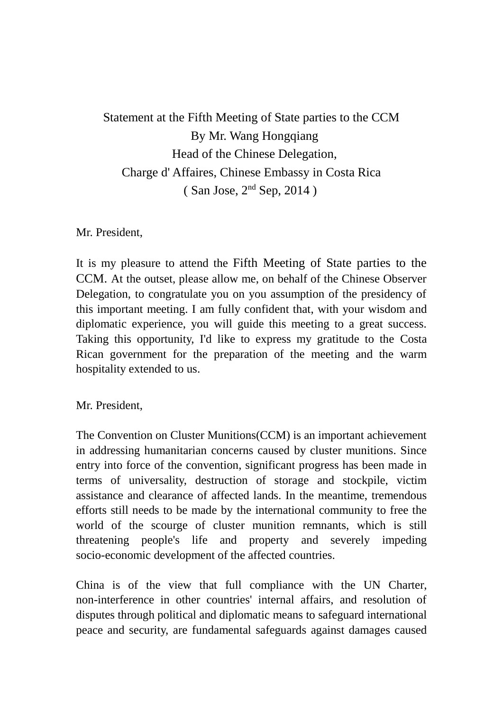Statement at the Fifth Meeting of State parties to the CCM By Mr. Wang Hongqiang Head of the Chinese Delegation, Charge d' Affaires, Chinese Embassy in Costa Rica ( San Jose, 2nd Sep, 2014 )

Mr. President,

It is my pleasure to attend the Fifth Meeting of State parties to the CCM. At the outset, please allow me, on behalf of the Chinese Observer Delegation, to congratulate you on you assumption of the presidency of this important meeting. I am fully confident that, with your wisdom and diplomatic experience, you will guide this meeting to a great success. Taking this opportunity, I'd like to express my gratitude to the Costa Rican government for the preparation of the meeting and the warm hospitality extended to us.

Mr. President,

The Convention on Cluster Munitions(CCM) is an important achievement in addressing humanitarian concerns caused by cluster munitions. Since entry into force of the convention, significant progress has been made in terms of universality, destruction of storage and stockpile, victim assistance and clearance of affected lands. In the meantime, tremendous efforts still needs to be made by the international community to free the world of the scourge of cluster munition remnants, which is still threatening people's life and property and severely impeding socio-economic development of the affected countries.

China is of the view that full compliance with the UN Charter, non-interference in other countries' internal affairs, and resolution of disputes through political and diplomatic means to safeguard international peace and security, are fundamental safeguards against damages caused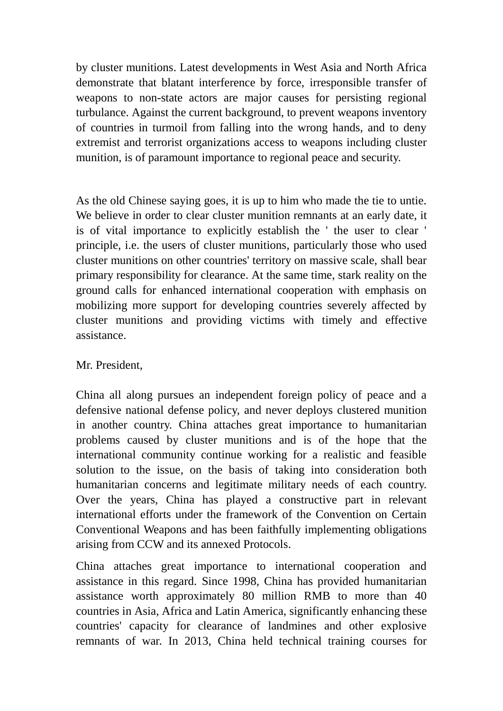by cluster munitions. Latest developments in West Asia and North Africa demonstrate that blatant interference by force, irresponsible transfer of weapons to non-state actors are major causes for persisting regional turbulance. Against the current background, to prevent weapons inventory of countries in turmoil from falling into the wrong hands, and to deny extremist and terrorist organizations access to weapons including cluster munition, is of paramount importance to regional peace and security.

As the old Chinese saying goes, it is up to him who made the tie to untie. We believe in order to clear cluster munition remnants at an early date, it is of vital importance to explicitly establish the ' the user to clear ' principle, i.e. the users of cluster munitions, particularly those who used cluster munitions on other countries' territory on massive scale, shall bear primary responsibility for clearance. At the same time, stark reality on the ground calls for enhanced international cooperation with emphasis on mobilizing more support for developing countries severely affected by cluster munitions and providing victims with timely and effective assistance.

## Mr. President,

China all along pursues an independent foreign policy of peace and a defensive national defense policy, and never deploys clustered munition in another country. China attaches great importance to humanitarian problems caused by cluster munitions and is of the hope that the international community continue working for a realistic and feasible solution to the issue, on the basis of taking into consideration both humanitarian concerns and legitimate military needs of each country. Over the years, China has played a constructive part in relevant international efforts under the framework of the Convention on Certain Conventional Weapons and has been faithfully implementing obligations arising from CCW and its annexed Protocols.

China attaches great importance to international cooperation and assistance in this regard. Since 1998, China has provided humanitarian assistance worth approximately 80 million RMB to more than 40 countries in Asia, Africa and Latin America, significantly enhancing these countries' capacity for clearance of landmines and other explosive remnants of war. In 2013, China held technical training courses for